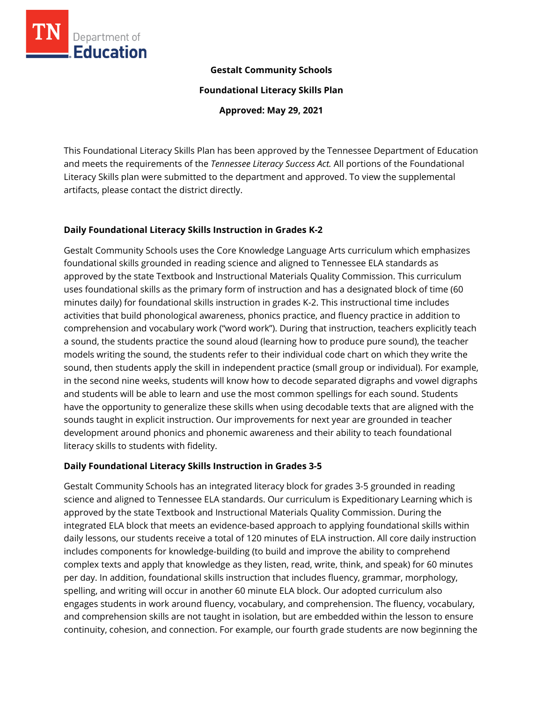

#### **Gestalt Community Schools**

**Foundational Literacy Skills Plan**

**Approved: May 29, 2021**

This Foundational Literacy Skills Plan has been approved by the Tennessee Department of Education and meets the requirements of the *Tennessee Literacy Success Act.* All portions of the Foundational Literacy Skills plan were submitted to the department and approved. To view the supplemental artifacts, please contact the district directly.

### **Daily Foundational Literacy Skills Instruction in Grades K-2**

Gestalt Community Schools uses the Core Knowledge Language Arts curriculum which emphasizes foundational skills grounded in reading science and aligned to Tennessee ELA standards as approved by the state Textbook and Instructional Materials Quality Commission. This curriculum uses foundational skills as the primary form of instruction and has a designated block of time (60 minutes daily) for foundational skills instruction in grades K-2. This instructional time includes activities that build phonological awareness, phonics practice, and fluency practice in addition to comprehension and vocabulary work ("word work"). During that instruction, teachers explicitly teach a sound, the students practice the sound aloud (learning how to produce pure sound), the teacher models writing the sound, the students refer to their individual code chart on which they write the sound, then students apply the skill in independent practice (small group or individual). For example, in the second nine weeks, students will know how to decode separated digraphs and vowel digraphs and students will be able to learn and use the most common spellings for each sound. Students have the opportunity to generalize these skills when using decodable texts that are aligned with the sounds taught in explicit instruction. Our improvements for next year are grounded in teacher development around phonics and phonemic awareness and their ability to teach foundational literacy skills to students with fidelity.

# **Daily Foundational Literacy Skills Instruction in Grades 3-5**

Gestalt Community Schools has an integrated literacy block for grades 3-5 grounded in reading science and aligned to Tennessee ELA standards. Our curriculum is Expeditionary Learning which is approved by the state Textbook and Instructional Materials Quality Commission. During the integrated ELA block that meets an evidence-based approach to applying foundational skills within daily lessons, our students receive a total of 120 minutes of ELA instruction. All core daily instruction includes components for knowledge-building (to build and improve the ability to comprehend complex texts and apply that knowledge as they listen, read, write, think, and speak) for 60 minutes per day. In addition, foundational skills instruction that includes fluency, grammar, morphology, spelling, and writing will occur in another 60 minute ELA block. Our adopted curriculum also engages students in work around fluency, vocabulary, and comprehension. The fluency, vocabulary, and comprehension skills are not taught in isolation, but are embedded within the lesson to ensure continuity, cohesion, and connection. For example, our fourth grade students are now beginning the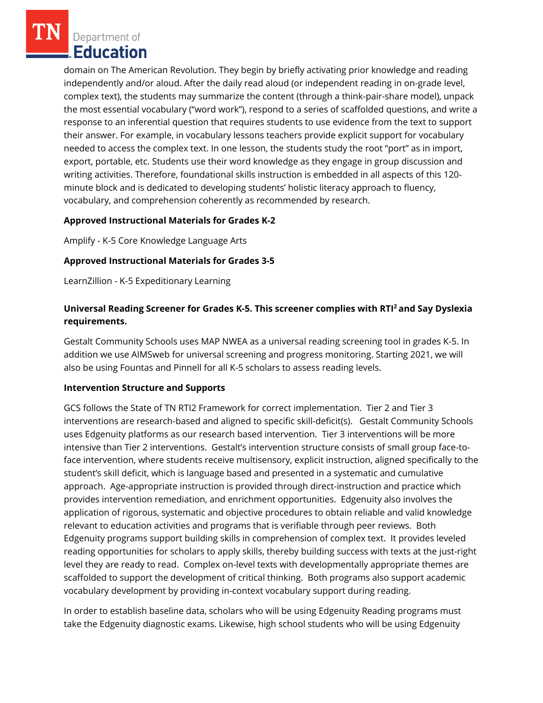Department of Education

domain on The American Revolution. They begin by briefly activating prior knowledge and reading independently and/or aloud. After the daily read aloud (or independent reading in on-grade level, complex text), the students may summarize the content (through a think-pair-share model), unpack the most essential vocabulary ("word work"), respond to a series of scaffolded questions, and write a response to an inferential question that requires students to use evidence from the text to support their answer. For example, in vocabulary lessons teachers provide explicit support for vocabulary needed to access the complex text. In one lesson, the students study the root "port" as in import, export, portable, etc. Students use their word knowledge as they engage in group discussion and writing activities. Therefore, foundational skills instruction is embedded in all aspects of this 120 minute block and is dedicated to developing students' holistic literacy approach to fluency, vocabulary, and comprehension coherently as recommended by research.

#### **Approved Instructional Materials for Grades K-2**

Amplify - K-5 Core Knowledge Language Arts

#### **Approved Instructional Materials for Grades 3-5**

LearnZillion - K-5 Expeditionary Learning

## **Universal Reading Screener for Grades K-5. This screener complies with RTI<sup>2</sup>and Say Dyslexia requirements.**

Gestalt Community Schools uses MAP NWEA as a universal reading screening tool in grades K-5. In addition we use AIMSweb for universal screening and progress monitoring. Starting 2021, we will also be using Fountas and Pinnell for all K-5 scholars to assess reading levels.

#### **Intervention Structure and Supports**

GCS follows the State of TN RTI2 Framework for correct implementation. Tier 2 and Tier 3 interventions are research-based and aligned to specific skill-deficit(s). Gestalt Community Schools uses Edgenuity platforms as our research based intervention. Tier 3 interventions will be more intensive than Tier 2 interventions. Gestalt's intervention structure consists of small group face-toface intervention, where students receive multisensory, explicit instruction, aligned specifically to the student's skill deficit, which is language based and presented in a systematic and cumulative approach. Age-appropriate instruction is provided through direct-instruction and practice which provides intervention remediation, and enrichment opportunities. Edgenuity also involves the application of rigorous, systematic and objective procedures to obtain reliable and valid knowledge relevant to education activities and programs that is verifiable through peer reviews. Both Edgenuity programs support building skills in comprehension of complex text. It provides leveled reading opportunities for scholars to apply skills, thereby building success with texts at the just-right level they are ready to read. Complex on-level texts with developmentally appropriate themes are scaffolded to support the development of critical thinking. Both programs also support academic vocabulary development by providing in-context vocabulary support during reading.

In order to establish baseline data, scholars who will be using Edgenuity Reading programs must take the Edgenuity diagnostic exams. Likewise, high school students who will be using Edgenuity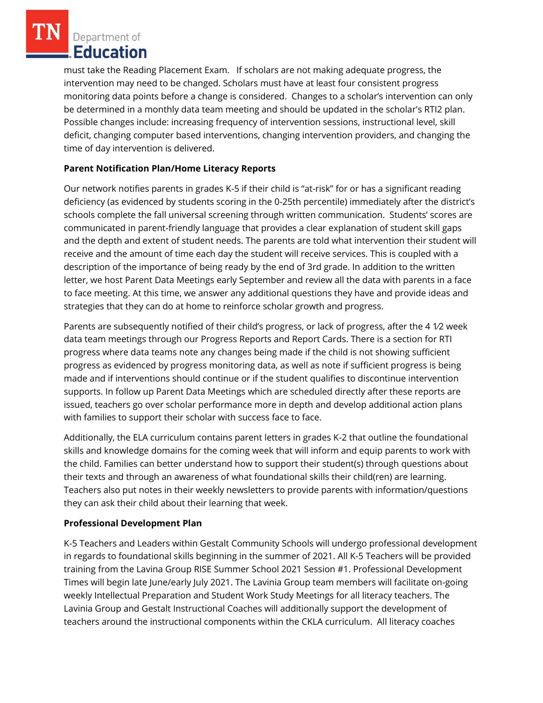Department of **Education** 

must take the Reading Placement Exam. If scholars are not making adequate progress, the intervention may need to be changed. Scholars must have at least four consistent progress monitoring data points before a change is considered. Changes to a scholar's intervention can only be determined in a monthly data team meeting and should be updated in the scholar's RTI2 plan. Possible changes include: increasing frequency of intervention sessions, instructional level, skill deficit, changing computer based interventions, changing intervention providers, and changing the time of day intervention is delivered.

# **Parent Notification Plan/Home Literacy Reports**

Our network notifies parents in grades K-5 if their child is "at-risk" for or has a significant reading deficiency (as evidenced by students scoring in the 0-25th percentile) immediately after the district's schools complete the fall universal screening through written communication. Students' scores are communicated in parent-friendly language that provides a clear explanation of student skill gaps and the depth and extent of student needs. The parents are told what intervention their student will receive and the amount of time each day the student will receive services. This is coupled with a description of the importance of being ready by the end of 3rd grade. In addition to the written letter, we host Parent Data Meetings early September and review all the data with parents in a face to face meeting. At this time, we answer any additional questions they have and provide ideas and strategies that they can do at home to reinforce scholar growth and progress.

Parents are subsequently notified of their child's progress, or lack of progress, after the 4 1⁄2 week data team meetings through our Progress Reports and Report Cards. There is a section for RTI progress where data teams note any changes being made if the child is not showing sufficient progress as evidenced by progress monitoring data, as well as note if sufficient progress is being made and if interventions should continue or if the student qualifies to discontinue intervention supports. In follow up Parent Data Meetings which are scheduled directly after these reports are issued, teachers go over scholar performance more in depth and develop additional action plans with families to support their scholar with success face to face.

Additionally, the ELA curriculum contains parent letters in grades K-2 that outline the foundational skills and knowledge domains for the coming week that will inform and equip parents to work with the child. Families can better understand how to support their student(s) through questions about their texts and through an awareness of what foundational skills their child(ren) are learning. Teachers also put notes in their weekly newsletters to provide parents with information/questions they can ask their child about their learning that week.

#### **Professional Development Plan**

K-5 Teachers and Leaders within Gestalt Community Schools will undergo professional development in regards to foundational skills beginning in the summer of 2021. All K-5 Teachers will be provided training from the Lavina Group RISE Summer School 2021 Session #1. Professional Development Times will begin late June/early July 2021. The Lavinia Group team members will facilitate on-going weekly Intellectual Preparation and Student Work Study Meetings for all literacy teachers. The Lavinia Group and Gestalt Instructional Coaches will additionally support the development of teachers around the instructional components within the CKLA curriculum. All literacy coaches